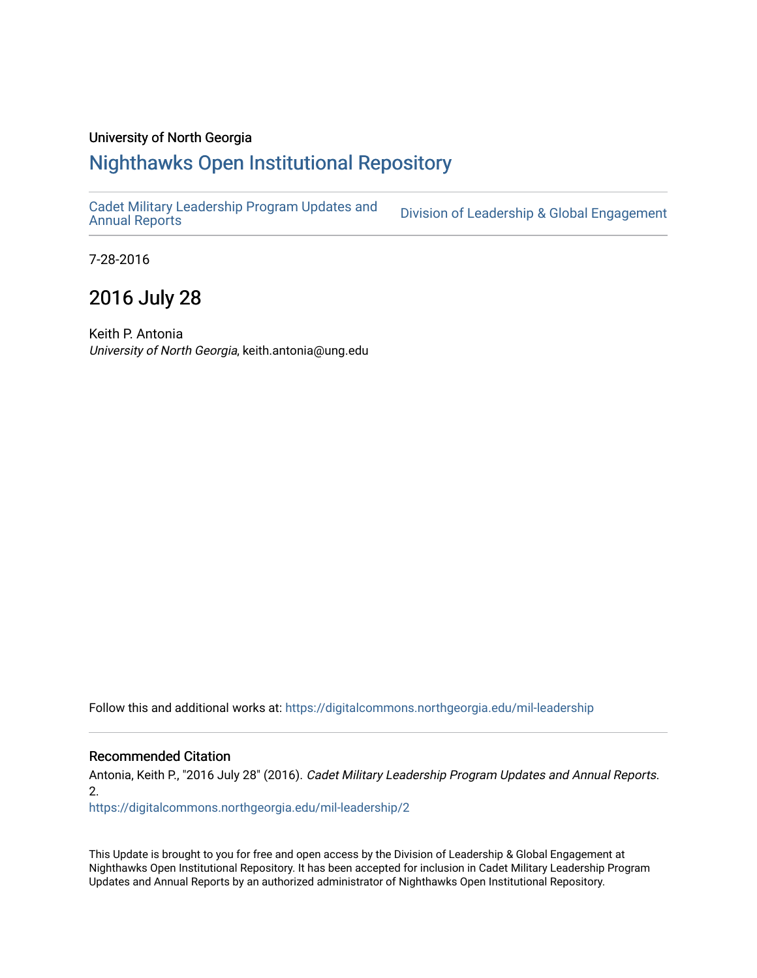## University of North Georgia

## [Nighthawks Open Institutional Repository](https://digitalcommons.northgeorgia.edu/)

[Cadet Military Leadership Program Updates and](https://digitalcommons.northgeorgia.edu/mil-leadership) 

Division of Leadership & Global Engagement

7-28-2016

## 2016 July 28

Keith P. Antonia University of North Georgia, keith.antonia@ung.edu

Follow this and additional works at: [https://digitalcommons.northgeorgia.edu/mil-leadership](https://digitalcommons.northgeorgia.edu/mil-leadership?utm_source=digitalcommons.northgeorgia.edu%2Fmil-leadership%2F2&utm_medium=PDF&utm_campaign=PDFCoverPages) 

## Recommended Citation

Antonia, Keith P., "2016 July 28" (2016). Cadet Military Leadership Program Updates and Annual Reports. 2.

[https://digitalcommons.northgeorgia.edu/mil-leadership/2](https://digitalcommons.northgeorgia.edu/mil-leadership/2?utm_source=digitalcommons.northgeorgia.edu%2Fmil-leadership%2F2&utm_medium=PDF&utm_campaign=PDFCoverPages) 

This Update is brought to you for free and open access by the Division of Leadership & Global Engagement at Nighthawks Open Institutional Repository. It has been accepted for inclusion in Cadet Military Leadership Program Updates and Annual Reports by an authorized administrator of Nighthawks Open Institutional Repository.